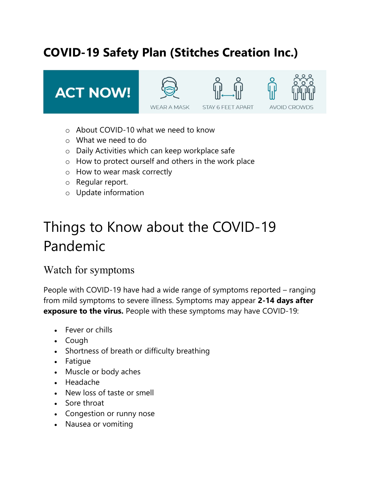# COVID-19 Safety Plan (Stitches Creation Inc.)

**ACT NOW!** 





**STAY 6 FEET APART** 



- o About COVID-10 what we need to know
- o What we need to do
- o Daily Activities which can keep workplace safe
- o How to protect ourself and others in the work place
- o How to wear mask correctly
- o Regular report.
- o Update information

# Things to Know about the COVID-19 Pandemic

### Watch for symptoms

People with COVID-19 have had a wide range of symptoms reported – ranging from mild symptoms to severe illness. Symptoms may appear 2-14 days after exposure to the virus. People with these symptoms may have COVID-19:

- Fever or chills
- Cough
- Shortness of breath or difficulty breathing
- Fatique
- Muscle or body aches
- Headache
- New loss of taste or smell
- Sore throat
- Congestion or runny nose
- Nausea or vomiting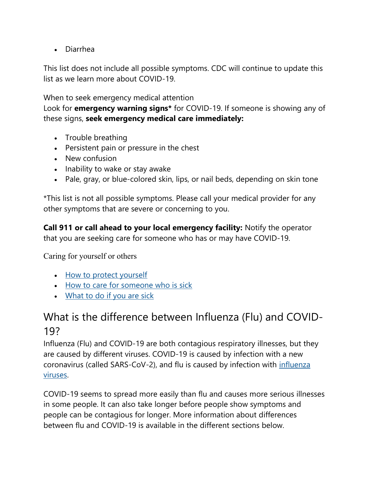Diarrhea

This list does not include all possible symptoms. CDC will continue to update this list as we learn more about COVID-19.

When to seek emergency medical attention

Look for **emergency warning signs**\* for COVID-19. If someone is showing any of these signs, seek emergency medical care immediately:

- Trouble breathing
- Persistent pain or pressure in the chest
- New confusion
- Inability to wake or stay awake
- Pale, gray, or blue-colored skin, lips, or nail beds, depending on skin tone

\*This list is not all possible symptoms. Please call your medical provider for any other symptoms that are severe or concerning to you.

Call 911 or call ahead to your local emergency facility: Notify the operator that you are seeking care for someone who has or may have COVID-19.

Caring for yourself or others

- How to protect yourself
- How to care for someone who is sick
- What to do if you are sick

### What is the difference between Influenza (Flu) and COVID-19?

Influenza (Flu) and COVID-19 are both contagious respiratory illnesses, but they are caused by different viruses. COVID-19 is caused by infection with a new coronavirus (called SARS-CoV-2), and flu is caused by infection with influenza viruses.

COVID-19 seems to spread more easily than flu and causes more serious illnesses in some people. It can also take longer before people show symptoms and people can be contagious for longer. More information about differences between flu and COVID-19 is available in the different sections below.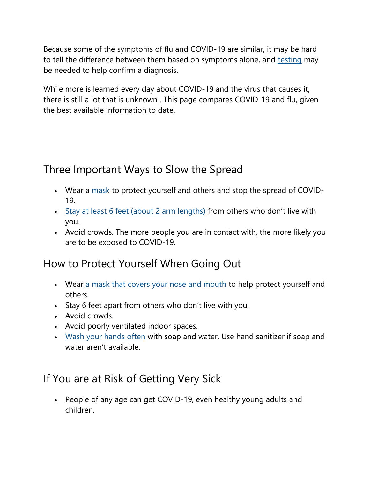Because some of the symptoms of flu and COVID-19 are similar, it may be hard to tell the difference between them based on symptoms alone, and testing may be needed to help confirm a diagnosis.

While more is learned every day about COVID-19 and the virus that causes it, there is still a lot that is unknown . This page compares COVID-19 and flu, given the best available information to date.

# Three Important Ways to Slow the Spread

- Wear a mask to protect yourself and others and stop the spread of COVID-19.
- Stay at least 6 feet (about 2 arm lengths) from others who don't live with you.
- Avoid crowds. The more people you are in contact with, the more likely you are to be exposed to COVID-19.

# How to Protect Yourself When Going Out

- Wear a mask that covers your nose and mouth to help protect yourself and others.
- Stay 6 feet apart from others who don't live with you.
- Avoid crowds.
- Avoid poorly ventilated indoor spaces.
- Wash your hands often with soap and water. Use hand sanitizer if soap and water aren't available.

# If You are at Risk of Getting Very Sick

 People of any age can get COVID-19, even healthy young adults and children.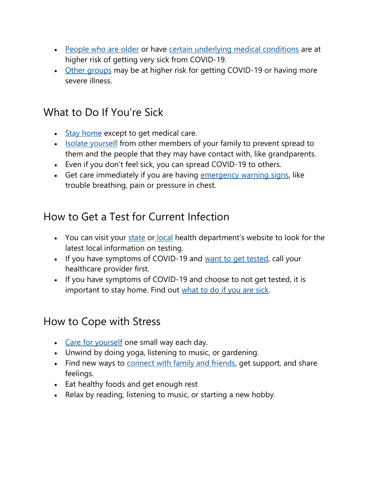- People who are older or have certain underlying medical conditions are at higher risk of getting very sick from COVID-19.
- Other groups may be at higher risk for getting COVID-19 or having more severe illness.

### What to Do If You're Sick

- Stay home except to get medical care.
- Isolate yourself from other members of your family to prevent spread to them and the people that they may have contact with, like grandparents.
- Even if you don't feel sick, you can spread COVID-19 to others.
- Get care immediately if you are having emergency warning signs, like trouble breathing, pain or pressure in chest.

# How to Get a Test for Current Infection

- You can visit your state or local health department's website to look for the latest local information on testing.
- If you have symptoms of COVID-19 and want to get tested, call your healthcare provider first.
- If you have symptoms of COVID-19 and choose to not get tested, it is important to stay home. Find out what to do if you are sick.

### How to Cope with Stress

- Care for yourself one small way each day.
- Unwind by doing yoga, listening to music, or gardening.
- Find new ways to connect with family and friends, get support, and share feelings.
- Eat healthy foods and get enough rest
- Relax by reading, listening to music, or starting a new hobby.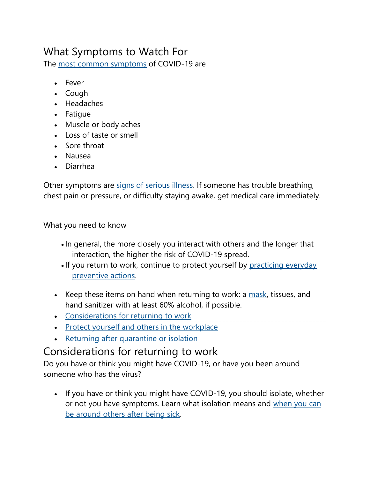# What Symptoms to Watch For

The most common symptoms of COVID-19 are

- Fever
- Cough
- Headaches
- Fatique
- Muscle or body aches
- Loss of taste or smell
- Sore throat
- Nausea
- Diarrhea

Other symptoms are signs of serious illness. If someone has trouble breathing, chest pain or pressure, or difficulty staying awake, get medical care immediately.

What you need to know

- In general, the more closely you interact with others and the longer that interaction, the higher the risk of COVID-19 spread.
- If you return to work, continue to protect yourself by practicing everyday preventive actions.
- EXEP Keep these items on hand when returning to work: a  $mask$ , tissues, and hand sanitizer with at least 60% alcohol, if possible.
- Considerations for returning to work
- Protect yourself and others in the workplace
- Returning after quarantine or isolation

# Considerations for returning to work

Do you have or think you might have COVID-19, or have you been around someone who has the virus?

• If you have or think you might have COVID-19, you should isolate, whether or not you have symptoms. Learn what isolation means and when you can be around others after being sick.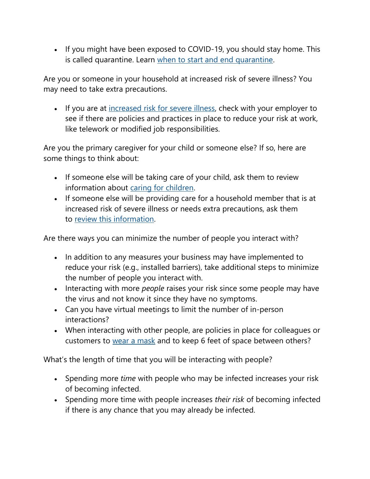• If you might have been exposed to COVID-19, you should stay home. This is called quarantine. Learn when to start and end quarantine.

Are you or someone in your household at increased risk of severe illness? You may need to take extra precautions.

• If you are at increased risk for severe illness, check with your employer to see if there are policies and practices in place to reduce your risk at work, like telework or modified job responsibilities.

Are you the primary caregiver for your child or someone else? If so, here are some things to think about:

- If someone else will be taking care of your child, ask them to review information about caring for children.
- If someone else will be providing care for a household member that is at increased risk of severe illness or needs extra precautions, ask them to review this information.

Are there ways you can minimize the number of people you interact with?

- In addition to any measures your business may have implemented to reduce your risk (e.g., installed barriers), take additional steps to minimize the number of people you interact with.
- Interacting with more *people* raises your risk since some people may have the virus and not know it since they have no symptoms.
- Can you have virtual meetings to limit the number of in-person interactions?
- When interacting with other people, are policies in place for colleagues or customers to wear a mask and to keep 6 feet of space between others?

What's the length of time that you will be interacting with people?

- Spending more time with people who may be infected increases your risk of becoming infected.
- Spending more time with people increases their risk of becoming infected if there is any chance that you may already be infected.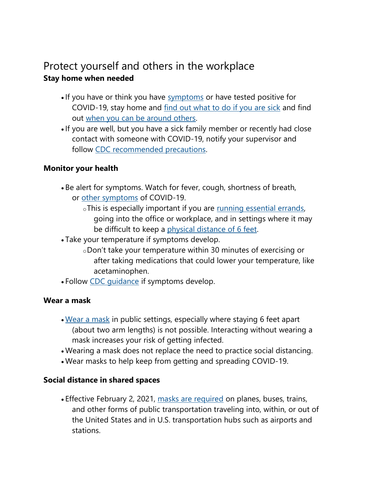### Protect yourself and others in the workplace Stay home when needed

- If you have or think you have symptoms or have tested positive for COVID-19, stay home and find out what to do if you are sick and find out when you can be around others.
- If you are well, but you have a sick family member or recently had close contact with someone with COVID-19, notify your supervisor and follow CDC recommended precautions.

#### Monitor your health

- Be alert for symptoms. Watch for fever, cough, shortness of breath, or other symptoms of COVID-19.
	- oThis is especially important if you are <u>running essential errands</u>, going into the office or workplace, and in settings where it may be difficult to keep a physical distance of 6 feet.
- Take your temperature if symptoms develop.
	- oDon't take your temperature within 30 minutes of exercising or after taking medications that could lower your temperature, like acetaminophen.
- Follow CDC guidance if symptoms develop.

#### Wear a mask

- Wear a mask in public settings, especially where staying 6 feet apart (about two arm lengths) is not possible. Interacting without wearing a mask increases your risk of getting infected.
- Wearing a mask does not replace the need to practice social distancing.
- Wear masks to help keep from getting and spreading COVID-19.

#### Social distance in shared spaces

 Effective February 2, 2021, masks are required on planes, buses, trains, and other forms of public transportation traveling into, within, or out of the United States and in U.S. transportation hubs such as airports and stations.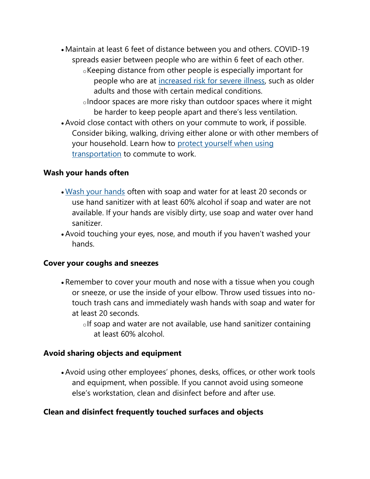Maintain at least 6 feet of distance between you and others. COVID-19 spreads easier between people who are within 6 feet of each other. oKeeping distance from other people is especially important for people who are at increased risk for severe illness, such as older adults and those with certain medical conditions.

oIndoor spaces are more risky than outdoor spaces where it might be harder to keep people apart and there's less ventilation.

 Avoid close contact with others on your commute to work, if possible. Consider biking, walking, driving either alone or with other members of your household. Learn how to protect yourself when using transportation to commute to work.

#### Wash your hands often

- Wash your hands often with soap and water for at least 20 seconds or use hand sanitizer with at least 60% alcohol if soap and water are not available. If your hands are visibly dirty, use soap and water over hand sanitizer.
- Avoid touching your eyes, nose, and mouth if you haven't washed your hands.

#### Cover your coughs and sneezes

- Remember to cover your mouth and nose with a tissue when you cough or sneeze, or use the inside of your elbow. Throw used tissues into notouch trash cans and immediately wash hands with soap and water for at least 20 seconds.
	- $\circ$ If soap and water are not available, use hand sanitizer containing at least 60% alcohol.

#### Avoid sharing objects and equipment

 Avoid using other employees' phones, desks, offices, or other work tools and equipment, when possible. If you cannot avoid using someone else's workstation, clean and disinfect before and after use.

#### Clean and disinfect frequently touched surfaces and objects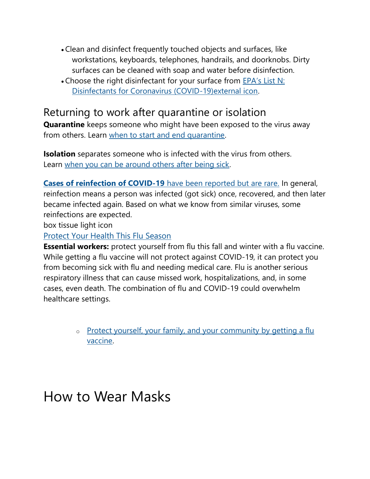- Clean and disinfect frequently touched objects and surfaces, like workstations, keyboards, telephones, handrails, and doorknobs. Dirty surfaces can be cleaned with soap and water before disinfection.
- Choose the right disinfectant for your surface from EPA's List N: Disinfectants for Coronavirus (COVID-19)external icon.

### Returning to work after quarantine or isolation

Quarantine keeps someone who might have been exposed to the virus away from others. Learn when to start and end quarantine.

**Isolation** separates someone who is infected with the virus from others. Learn when you can be around others after being sick.

Cases of reinfection of COVID-19 have been reported but are rare. In general, reinfection means a person was infected (got sick) once, recovered, and then later became infected again. Based on what we know from similar viruses, some reinfections are expected.

box tissue light icon

Protect Your Health This Flu Season

Essential workers: protect yourself from flu this fall and winter with a flu vaccine. While getting a flu vaccine will not protect against COVID-19, it can protect you from becoming sick with flu and needing medical care. Flu is another serious respiratory illness that can cause missed work, hospitalizations, and, in some cases, even death. The combination of flu and COVID-19 could overwhelm healthcare settings.

> o Protect yourself, your family, and your community by getting a flu vaccine.

# How to Wear Masks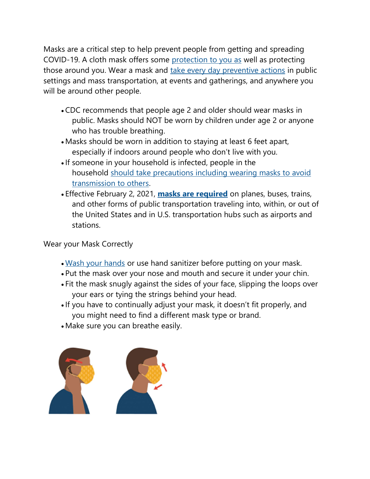Masks are a critical step to help prevent people from getting and spreading COVID-19. A cloth mask offers some protection to you as well as protecting those around you. Wear a mask and take every day preventive actions in public settings and mass transportation, at events and gatherings, and anywhere you will be around other people.

- CDC recommends that people age 2 and older should wear masks in public. Masks should NOT be worn by children under age 2 or anyone who has trouble breathing.
- Masks should be worn in addition to staying at least 6 feet apart, especially if indoors around people who don't live with you.
- If someone in your household is infected, people in the household should take precautions including wearing masks to avoid transmission to others.
- Effective February 2, 2021, **masks are required** on planes, buses, trains, and other forms of public transportation traveling into, within, or out of the United States and in U.S. transportation hubs such as airports and stations.

#### Wear your Mask Correctly

- . Wash your hands or use hand sanitizer before putting on your mask.
- Put the mask over your nose and mouth and secure it under your chin.
- Fit the mask snugly against the sides of your face, slipping the loops over your ears or tying the strings behind your head.
- If you have to continually adjust your mask, it doesn't fit properly, and you might need to find a different mask type or brand.
- Make sure you can breathe easily.

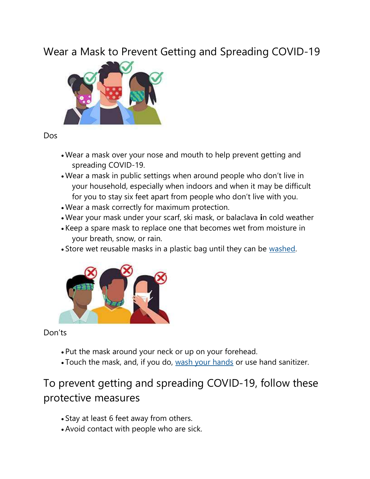Wear a Mask to Prevent Getting and Spreading COVID-19



Dos

- Wear a mask over your nose and mouth to help prevent getting and spreading COVID-19.
- Wear a mask in public settings when around people who don't live in your household, especially when indoors and when it may be difficult for you to stay six feet apart from people who don't live with you.
- Wear a mask correctly for maximum protection.
- Wear your mask under your scarf, ski mask, or balaclava in cold weather
- Keep a spare mask to replace one that becomes wet from moisture in your breath, snow, or rain.
- Store wet reusable masks in a plastic bag until they can be washed.



Don'ts

- Put the mask around your neck or up on your forehead.
- Touch the mask, and, if you do, wash your hands or use hand sanitizer.

# To prevent getting and spreading COVID-19, follow these protective measures

- Stay at least 6 feet away from others.
- Avoid contact with people who are sick.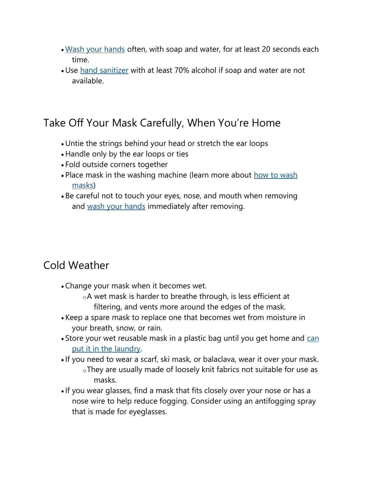- Wash your hands often, with soap and water, for at least 20 seconds each time.
- Use hand sanitizer with at least 70% alcohol if soap and water are not available.

### Take Off Your Mask Carefully, When You're Home

- Untie the strings behind your head or stretch the ear loops
- Handle only by the ear loops or ties
- Fold outside corners together
- Place mask in the washing machine (learn more about how to wash masks)
- Be careful not to touch your eyes, nose, and mouth when removing and wash your hands immediately after removing.

### Cold Weather

Change your mask when it becomes wet.

oA wet mask is harder to breathe through, is less efficient at filtering, and vents more around the edges of the mask.

- Keep a spare mask to replace one that becomes wet from moisture in your breath, snow, or rain.
- Store your wet reusable mask in a plastic bag until you get home and can put it in the laundry.
- If you need to wear a scarf, ski mask, or balaclava, wear it over your mask. oThey are usually made of loosely knit fabrics not suitable for use as masks.
- If you wear glasses, find a mask that fits closely over your nose or has a nose wire to help reduce fogging. Consider using an antifogging spray that is made for eyeglasses.